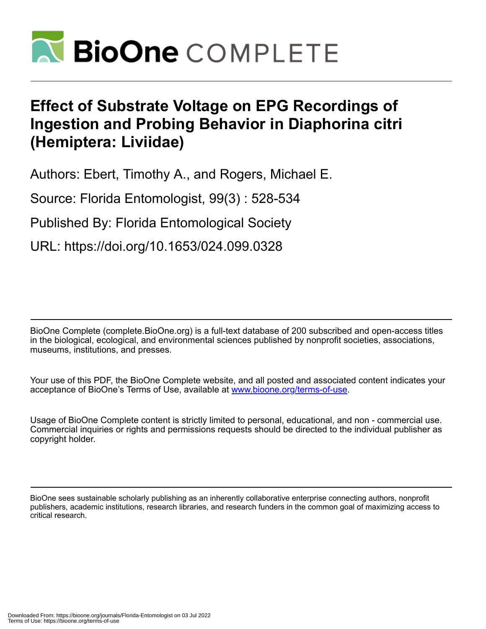

## **Effect of Substrate Voltage on EPG Recordings of Ingestion and Probing Behavior in Diaphorina citri (Hemiptera: Liviidae)**

Authors: Ebert, Timothy A., and Rogers, Michael E.

Source: Florida Entomologist, 99(3) : 528-534

Published By: Florida Entomological Society

URL: https://doi.org/10.1653/024.099.0328

BioOne Complete (complete.BioOne.org) is a full-text database of 200 subscribed and open-access titles in the biological, ecological, and environmental sciences published by nonprofit societies, associations, museums, institutions, and presses.

Your use of this PDF, the BioOne Complete website, and all posted and associated content indicates your acceptance of BioOne's Terms of Use, available at www.bioone.org/terms-of-use.

Usage of BioOne Complete content is strictly limited to personal, educational, and non - commercial use. Commercial inquiries or rights and permissions requests should be directed to the individual publisher as copyright holder.

BioOne sees sustainable scholarly publishing as an inherently collaborative enterprise connecting authors, nonprofit publishers, academic institutions, research libraries, and research funders in the common goal of maximizing access to critical research.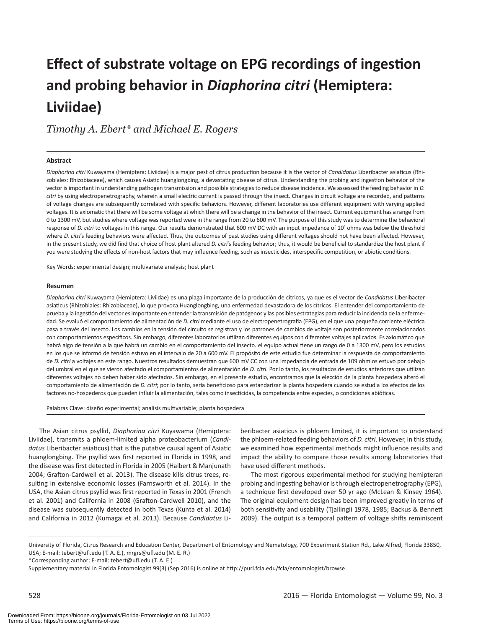# **Effect of substrate voltage on EPG recordings of ingestion and probing behavior in** *Diaphorina citri* **(Hemiptera: Liviidae)**

*Timothy A. Ebert\* and Michael E. Rogers*

#### **Abstract**

*Diaphorina citri* Kuwayama (Hemiptera: Liviidae) is a major pest of citrus production because it is the vector of *Candidatus* Liberibacter asiaticus (Rhizobiales: Rhizobiaceae), which causes Asiatic huanglongbing, a devastating disease of citrus. Understanding the probing and ingestion behavior of the vector is important in understanding pathogen transmission and possible strategies to reduce disease incidence. We assessed the feeding behavior in *D. citri* by using electropenetrography, wherein a small electric current is passed through the insect. Changes in circuit voltage are recorded, and patterns of voltage changes are subsequently correlated with specific behaviors. However, different laboratories use different equipment with varying applied voltages. It is axiomatic that there will be some voltage at which there will be a change in the behavior of the insect. Current equipment has a range from 0 to 1300 mV, but studies where voltage was reported were in the range from 20 to 600 mV. The purpose of this study was to determine the behavioral response of *D. citri* to voltages in this range. Our results demonstrated that 600 mV DC with an input impedance of 10<sup>9</sup> ohms was below the threshold where *D. citri*'s feeding behaviors were affected. Thus, the outcomes of past studies using different voltages should not have been affected. However, in the present study, we did find that choice of host plant altered *D. citri*'s feeding behavior; thus, it would be beneficial to standardize the host plant if you were studying the effects of non-host factors that may influence feeding, such as insecticides, interspecific competition, or abiotic conditions.

Key Words: experimental design; multivariate analysis; host plant

#### **Resumen**

*Diaphorina citri* Kuwayama (Hemiptera: Liviidae) es una plaga importante de la producción de cítricos, ya que es el vector de *Candidatus* Liberibacter asiaticus (Rhizobiales: Rhizobiaceae), lo que provoca Huanglongbing, una enfermedad devastadora de los cítricos. El entender del comportamiento de prueba y la ingestión del vector es importante en entender la transmisión de patógenos y las posibles estrategias para reducir la incidencia de la enfermedad. Se evaluó el comportamiento de alimentación de *D. citri* mediante el uso de electropenetrografia (EPG), en el que una pequeña corriente eléctrica pasa a través del insecto. Los cambios en la tensión del circuito se registran y los patrones de cambios de voltaje son posteriormente correlacionados con comportamientos específicos. Sin embargo, diferentes laboratorios utilizan diferentes equipos con diferentes voltajes aplicados. Es axiomático que habrá algo de tensión a la que habrá un cambio en el comportamiento del insecto. el equipo actual tiene un rango de 0 a 1300 mV, pero los estudios en los que se informó de tensión estuvo en el intervalo de 20 a 600 mV. El propósito de este estudio fue determinar la respuesta de comportamiento de *D. citri* a voltajes en este rango. Nuestros resultados demuestran que 600 mV CC con una impedancia de entrada de 109 ohmios estuvo por debajo del umbral en el que se vieron afectado el comportamientos de alimentación de *D. citri*. Por lo tanto, los resultados de estudios anteriores que utilizan diferentes voltajes no deben haber sido afectados. Sin embargo, en el presente estudio, encontramos que la elección de la planta hospedera alteró el comportamiento de alimentación de *D. citri*; por lo tanto, sería beneficioso para estandarizar la planta hospedera cuando se estudia los efectos de los factores no-hospederos que pueden influir la alimentación, tales como insecticidas, la competencia entre especies, o condiciones abióticas.

Palabras Clave: diseño experimental; analisis multivariable; planta hospedera

The Asian citrus psyllid, *Diaphorina citri* Kuyawama (Hemiptera: Liviidae), transmits a phloem-limited alpha proteobacterium (*Candidatus* Liberibacter asiaticus) that is the putative causal agent of Asiatic huanglongbing. The psyllid was first reported in Florida in 1998, and the disease was first detected in Florida in 2005 (Halbert & Manjunath 2004; Grafton-Cardwell et al. 2013). The disease kills citrus trees, resulting in extensive economic losses (Farnsworth et al. 2014). In the USA, the Asian citrus psyllid was first reported in Texas in 2001 (French et al. 2001) and California in 2008 (Grafton-Cardwell 2010), and the disease was subsequently detected in both Texas (Kunta et al. 2014) and California in 2012 (Kumagai et al. 2013). Because *Candidatus* Liberibacter asiaticus is phloem limited, it is important to understand the phloem-related feeding behaviors of *D. citri*. However, in this study, we examined how experimental methods might influence results and impact the ability to compare those results among laboratories that have used different methods.

The most rigorous experimental method for studying hemipteran probing and ingesting behavior is through electropenetrography (EPG), a technique first developed over 50 yr ago (McLean & Kinsey 1964). The original equipment design has been improved greatly in terms of both sensitivity and usability (Tjallingii 1978, 1985; Backus & Bennett 2009). The output is a temporal pattern of voltage shifts reminiscent

University of Florida, Citrus Research and Education Center, Department of Entomology and Nematology, 700 Experiment Station Rd., Lake Alfred, Florida 33850, USA; E-mail: tebert@ufl.edu (T. A. E.), mrgrs@ufl.edu (M. E. R.)

<sup>\*</sup>Corresponding author; E-mail: tebert@ufl.edu (T. A. E.)

Supplementary material in Florida Entomologist 99(3) (Sep 2016) is online at http://purl.fcla.edu/fcla/entomologist/browse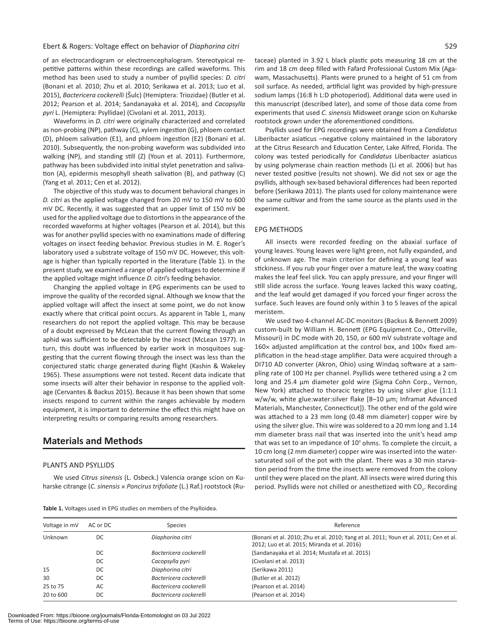#### Ebert & Rogers: Voltage effect on behavior of *Diaphorina citri* 529

of an electrocardiogram or electroencephalogram. Stereotypical repetitive patterns within these recordings are called waveforms. This method has been used to study a number of psyllid species: *D. citri* (Bonani et al. 2010; Zhu et al. 2010; Serikawa et al. 2013; Luo et al. 2015), *Bactericera cockerelli* (Šulc) (Hemiptera: Triozidae) (Butler et al. 2012; Pearson et al. 2014; Sandanayaka et al. 2014), and *Cacopsylla pyri* L. (Hemiptera: Psyllidae) (Civolani et al. 2011, 2013).

Waveforms in *D. citri* were originally characterized and correlated as non-probing (NP), pathway (C), xylem ingestion (G), phloem contact (D), phloem salivation (E1), and phloem ingestion (E2) (Bonani et al. 2010). Subsequently, the non-probing waveform was subdivided into walking (NP), and standing still (Z) (Youn et al. 2011). Furthermore, pathway has been subdivided into initial stylet penetration and salivation (A), epidermis mesophyll sheath salivation (B), and pathway (C) (Yang et al. 2011; Cen et al. 2012).

The objective of this study was to document behavioral changes in *D. citri* as the applied voltage changed from 20 mV to 150 mV to 600 mV DC. Recently, it was suggested that an upper limit of 150 mV be used for the applied voltage due to distortions in the appearance of the recorded waveforms at higher voltages (Pearson et al. 2014), but this was for another psyllid species with no examinations made of differing voltages on insect feeding behavior. Previous studies in M. E. Roger's laboratory used a substrate voltage of 150 mV DC. However, this voltage is higher than typically reported in the literature (Table 1). In the present study, we examined a range of applied voltages to determine if the applied voltage might influence *D. citri*'s feeding behavior.

Changing the applied voltage in EPG experiments can be used to improve the quality of the recorded signal. Although we know that the applied voltage will affect the insect at some point, we do not know exactly where that critical point occurs. As apparent in Table 1, many researchers do not report the applied voltage. This may be because of a doubt expressed by McLean that the current flowing through an aphid was sufficient to be detectable by the insect (McLean 1977). In turn, this doubt was influenced by earlier work in mosquitoes suggesting that the current flowing through the insect was less than the conjectured static charge generated during flight (Kashin & Wakeley 1965). These assumptions were not tested. Recent data indicate that some insects will alter their behavior in response to the applied voltage (Cervantes & Backus 2015). Because it has been shown that some insects respond to current within the ranges achievable by modern equipment, it is important to determine the effect this might have on interpreting results or comparing results among researchers.

## **Materials and Methods**

#### PLANTS AND PSYLLIDS

We used *Citrus sinensis* (L. Osbeck.) Valencia orange scion on Kuharske citrange (*C. sinensis* × *Poncirus trifoliate* (L.) Raf.) rootstock (Rutaceae) planted in 3.92 L black plastic pots measuring 18 cm at the rim and 18 cm deep filled with Fafard Professional Custom Mix (Agawam, Massachusetts). Plants were pruned to a height of 51 cm from soil surface. As needed, artificial light was provided by high-pressure sodium lamps (16:8 h L:D photoperiod). Additional data were used in this manuscript (described later), and some of those data come from experiments that used *C. sinensis* Midsweet orange scion on Kuharske rootstock grown under the aforementioned conditions.

Psyllids used for EPG recordings were obtained from a *Candidatus* Liberibacter asiaticus –negative colony maintained in the laboratory at the Citrus Research and Education Center, Lake Alfred, Florida. The colony was tested periodically for *Candidatus* Liberibacter asiaticus by using polymerase chain reaction methods (Li et al. 2006) but has never tested positive (results not shown). We did not sex or age the psyllids, although sex-based behavioral differences had been reported before (Serikawa 2011). The plants used for colony maintenance were the same cultivar and from the same source as the plants used in the experiment.

#### EPG METHODS

All insects were recorded feeding on the abaxial surface of young leaves. Young leaves were light green, not fully expanded, and of unknown age. The main criterion for defining a young leaf was stickiness. If you rub your finger over a mature leaf, the waxy coating makes the leaf feel slick. You can apply pressure, and your finger will still slide across the surface. Young leaves lacked this waxy coating, and the leaf would get damaged if you forced your finger across the surface. Such leaves are found only within 3 to 5 leaves of the apical meristem.

We used two 4-channel AC-DC monitors (Backus & Bennett 2009) custom-built by William H. Bennett (EPG Equipment Co., Otterville, Missouri) in DC mode with 20, 150, or 600 mV substrate voltage and  $160\times$  adjusted amplification at the control box, and  $100\times$  fixed amplification in the head-stage amplifier. Data were acquired through a DI710 AD converter (Akron, Ohio) using Windaq software at a sampling rate of 100 Hz per channel. Psyllids were tethered using a 2 cm long and 25.4 µm diameter gold wire (Sigma Cohn Corp., Vernon, New York) attached to thoracic tergites by using silver glue (1:1:1 w/w/w, white glue:water:silver flake [8-10 µm; Inframat Advanced Materials, Manchester, Connecticut]). The other end of the gold wire was attached to a 23 mm long (0.48 mm diameter) copper wire by using the silver glue. This wire was soldered to a 20 mm long and 1.14 mm diameter brass nail that was inserted into the unit's head amp that was set to an impedance of  $10^{\circ}$  ohms. To complete the circuit, a 10 cm long (2 mm diameter) copper wire was inserted into the watersaturated soil of the pot with the plant. There was a 30 min starvation period from the time the insects were removed from the colony until they were placed on the plant. All insects were wired during this period. Psyllids were not chilled or anesthetized with CO<sub>2</sub>. Recording

**Table 1.** Voltages used in EPG studies on members of the Psylloidea.

| Voltage in mV | AC or DC | <b>Species</b>         | Reference                                                                                                                           |
|---------------|----------|------------------------|-------------------------------------------------------------------------------------------------------------------------------------|
| Unknown       | DC       | Diaphorina citri       | (Bonani et al. 2010; Zhu et al. 2010; Yang et al. 2011; Youn et al. 2011; Cen et al.<br>2012; Luo et al. 2015; Miranda et al. 2016) |
|               | DC       | Bactericera cockerelli | (Sandanayaka et al. 2014; Mustafa et al. 2015)                                                                                      |
|               | DC       | Cacopsylla pyri        | (Civolani et al. 2013)                                                                                                              |
| 15            | DC       | Diaphorina citri       | (Serikawa 2011)                                                                                                                     |
| 30            | DC       | Bactericera cockerelli | (Butler et al. 2012)                                                                                                                |
| 25 to 75      | AC       | Bactericera cockerelli | (Pearson et al. 2014)                                                                                                               |
| 20 to 600     | DC       | Bactericera cockerelli | (Pearson et al. 2014)                                                                                                               |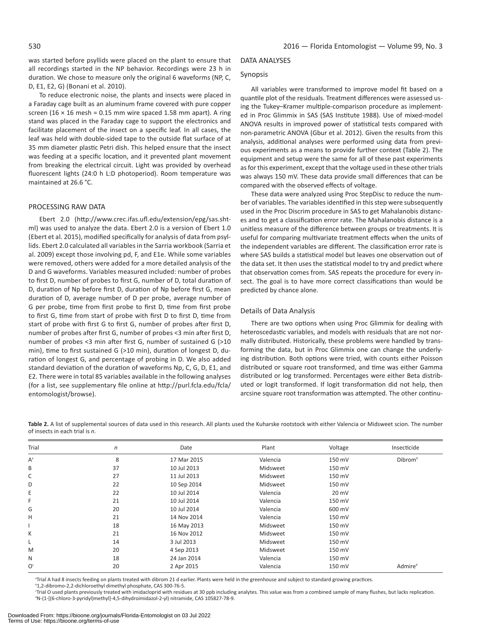was started before psyllids were placed on the plant to ensure that all recordings started in the NP behavior. Recordings were 23 h in duration. We chose to measure only the original 6 waveforms (NP, C, D, E1, E2, G) (Bonani et al. 2010).

To reduce electronic noise, the plants and insects were placed in a Faraday cage built as an aluminum frame covered with pure copper screen (16  $\times$  16 mesh = 0.15 mm wire spaced 1.58 mm apart). A ring stand was placed in the Faraday cage to support the electronics and facilitate placement of the insect on a specific leaf. In all cases, the leaf was held with double-sided tape to the outside flat surface of at 35 mm diameter plastic Petri dish. This helped ensure that the insect was feeding at a specific location, and it prevented plant movement from breaking the electrical circuit. Light was provided by overhead fluorescent lights (24:0 h L:D photoperiod). Room temperature was maintained at 26.6 °C.

#### PROCESSING RAW DATA

Ebert 2.0 (http://www.crec.ifas.ufl.edu/extension/epg/sas.shtml) was used to analyze the data. Ebert 2.0 is a version of Ebert 1.0 (Ebert et al. 2015), modified specifically for analysis of data from psyllids. Ebert 2.0 calculated all variables in the Sarria workbook (Sarria et al. 2009) except those involving pd, F, and E1e. While some variables were removed, others were added for a more detailed analysis of the D and G waveforms. Variables measured included: number of probes to first D, number of probes to first G, number of D, total duration of D, duration of Np before first D, duration of Np before first G, mean duration of D, average number of D per probe, average number of G per probe, time from first probe to first D, time from first probe to first G, time from start of probe with first D to first D, time from start of probe with first G to first G, number of probes after first D, number of probes after first G, number of probes <3 min after first D, number of probes <3 min after first G, number of sustained G (>10 min), time to first sustained G (>10 min), duration of longest D, duration of longest G, and percentage of probing in D. We also added standard deviation of the duration of waveforms Np, C, G, D, E1, and E2. There were in total 85 variables available in the following analyses (for a list, see supplementary file online at http://purl.fcla.edu/fcla/ entomologist/browse).

#### DATA ANALYSES

#### Synopsis

All variables were transformed to improve model fit based on a quantile plot of the residuals. Treatment differences were assessed using the Tukey–Kramer multiple-comparison procedure as implemented in Proc Glimmix in SAS (SAS Institute 1988). Use of mixed-model ANOVA results in improved power of statistical tests compared with non-parametric ANOVA (Gbur et al. 2012). Given the results from this analysis, additional analyses were performed using data from previous experiments as a means to provide further context (Table 2). The equipment and setup were the same for all of these past experiments as for this experiment, except that the voltage used in these other trials was always 150 mV. These data provide small differences that can be compared with the observed effects of voltage.

These data were analyzed using Proc StepDisc to reduce the number of variables. The variables identified in this step were subsequently used in the Proc Discrim procedure in SAS to get Mahalanobis distances and to get a classification error rate. The Mahalanobis distance is a unitless measure of the difference between groups or treatments. It is useful for comparing multivariate treatment effects when the units of the independent variables are different. The classification error rate is where SAS builds a statistical model but leaves one observation out of the data set. It then uses the statistical model to try and predict where that observation comes from. SAS repeats the procedure for every insect. The goal is to have more correct classifications than would be predicted by chance alone.

#### Details of Data Analysis

There are two options when using Proc Glimmix for dealing with heteroscedastic variables, and models with residuals that are not normally distributed. Historically, these problems were handled by transforming the data, but in Proc Glimmix one can change the underlying distribution. Both options were tried, with counts either Poisson distributed or square root transformed, and time was either Gamma distributed or log transformed. Percentages were either Beta distributed or logit transformed. If logit transformation did not help, then arcsine square root transformation was attempted. The other continu-

**Table 2.** A list of supplemental sources of data used in this research. All plants used the Kuharske rootstock with either Valencia or Midsweet scion. The number of insects in each trial is *n*.

| Trial          | n  | Date        | Plant    | Voltage         | Insecticide         |  |
|----------------|----|-------------|----------|-----------------|---------------------|--|
| $A^a$          | 8  | 17 Mar 2015 | Valencia | 150 mV          | Dibrom <sup>b</sup> |  |
| B              | 37 | 10 Jul 2013 | Midsweet | 150 mV          |                     |  |
| C              | 27 | 11 Jul 2013 | Midsweet | 150 mV          |                     |  |
| D              | 22 | 10 Sep 2014 | Midsweet | 150 mV          |                     |  |
| Ε              | 22 | 10 Jul 2014 | Valencia | $20 \text{ mV}$ |                     |  |
| F              | 21 | 10 Jul 2014 | Valencia | 150 mV          |                     |  |
| G              | 20 | 10 Jul 2014 | Valencia | 600 mV          |                     |  |
| H              | 21 | 14 Nov 2014 | Valencia | 150 mV          |                     |  |
|                | 18 | 16 May 2013 | Midsweet | 150 mV          |                     |  |
| К              | 21 | 16 Nov 2012 | Midsweet | 150 mV          |                     |  |
| L              | 14 | 3 Jul 2013  | Midsweet | 150 mV          |                     |  |
| M              | 20 | 4 Sep 2013  | Midsweet | 150 mV          |                     |  |
| N              | 18 | 24 Jan 2014 | Valencia | 150 mV          |                     |  |
| O <sup>c</sup> | 20 | 2 Apr 2015  | Valencia | 150 mV          | Admire <sup>d</sup> |  |

a Trial A had 8 insects feeding on plants treated with dibrom 21 d earlier. Plants were held in the greenhouse and subject to standard growing practices.

<sup>b</sup>1,2-dibromo-2,2-dichloroethyl dimethyl phosphate, CAS 300-76-5.

c Trial O used plants previously treated with imidacloprid with residues at 30 ppb including analytes. This value was from a combined sample of many flushes, but lacks replication. <sup>d</sup>N-(1-[(6-chloro-3-pyridyl)methyl]-4,5-dihydroimidazol-2-yl) nitramide, CAS 105827-78-9.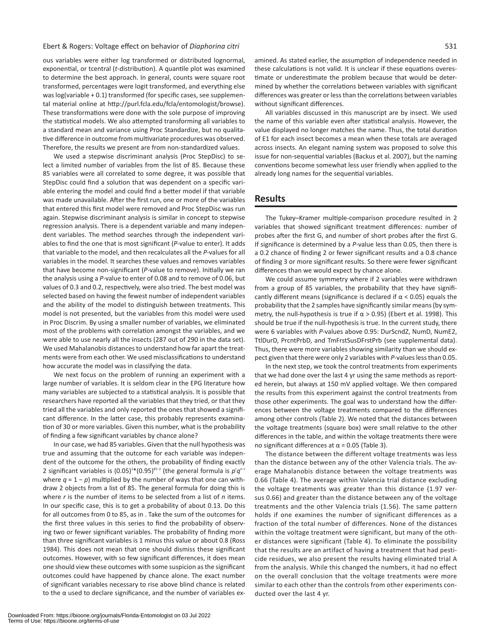#### Ebert & Rogers: Voltage effect on behavior of *Diaphorina citri* 531

ous variables were either log transformed or distributed lognormal, exponential, or tcentral (*t*-distribution). A quantile plot was examined to determine the best approach. In general, counts were square root transformed, percentages were logit transformed, and everything else was log(variable + 0.1) transformed (for specific cases, see supplemental material online at http://purl.fcla.edu/fcla/entomologist/browse). These transformations were done with the sole purpose of improving the statistical models. We also attempted transforming all variables to a standard mean and variance using Proc Standardize, but no qualitative difference in outcome from multivariate procedures was observed. Therefore, the results we present are from non-standardized values.

We used a stepwise discriminant analysis (Proc StepDisc) to select a limited number of variables from the list of 85. Because these 85 variables were all correlated to some degree, it was possible that StepDisc could find a solution that was dependent on a specific variable entering the model and could find a better model if that variable was made unavailable. After the first run, one or more of the variables that entered this first model were removed and Proc StepDisc was run again. Stepwise discriminant analysis is similar in concept to stepwise regression analysis. There is a dependent variable and many independent variables. The method searches through the independent variables to find the one that is most significant (*P*-value to enter). It adds that variable to the model, and then recalculates all the *P*-values for all variables in the model. It searches these values and removes variables that have become non-significant (*P*-value to remove). Initially we ran the analysis using a *P*-value to enter of 0.08 and to remove of 0.06, but values of 0.3 and 0.2, respectively, were also tried. The best model was selected based on having the fewest number of independent variables and the ability of the model to distinguish between treatments. This model is not presented, but the variables from this model were used in Proc Discrim. By using a smaller number of variables, we eliminated most of the problems with correlation amongst the variables, and we were able to use nearly all the insects (287 out of 290 in the data set). We used Mahalanobis distances to understand how far apart the treatments were from each other. We used misclassifications to understand how accurate the model was in classifying the data.

We next focus on the problem of running an experiment with a large number of variables. It is seldom clear in the EPG literature how many variables are subjected to a statistical analysis. It is possible that researchers have reported all the variables that they tried, or that they tried all the variables and only reported the ones that showed a significant difference. In the latter case, this probably represents examination of 30 or more variables. Given this number, what is the probability of finding a few significant variables by chance alone?

In our case, we had 85 variables. Given that the null hypothesis was true and assuming that the outcome for each variable was independent of the outcome for the others, the probability of finding exactly 2 significant variables is (0.05)<sup>2\*</sup> (0.95)<sup>85−2</sup> (the general formula is p'q<sup>n-r</sup> where  $q = 1 - p$ ) multiplied by the number of ways that one can withdraw 2 objects from a list of 85. The general formula for doing this is where *r* is the number of items to be selected from a list of *n* items. In our specific case, this is to get a probability of about 0.13. Do this for all outcomes from 0 to 85, as in . Take the sum of the outcomes for the first three values in this series to find the probability of observing two or fewer significant variables. The probability of finding more than three significant variables is 1 minus this value or about 0.8 (Ross 1984). This does not mean that one should dismiss these significant outcomes. However, with so few significant differences, it does mean one should view these outcomes with some suspicion as the significant outcomes could have happened by chance alone. The exact number of significant variables necessary to rise above blind chance is related to the  $\alpha$  used to declare significance, and the number of variables examined. As stated earlier, the assumption of independence needed in these calculations is not valid. It is unclear if these equations overestimate or underestimate the problem because that would be determined by whether the correlations between variables with significant differences was greater or less than the correlations between variables without significant differences.

All variables discussed in this manuscript are by insect. We used the name of this variable even after statistical analysis. However, the value displayed no longer matches the name. Thus, the total duration of E1 for each insect becomes a mean when these totals are averaged across insects. An elegant naming system was proposed to solve this issue for non-sequential variables (Backus et al. 2007), but the naming conventions become somewhat less user friendly when applied to the already long names for the sequential variables.

## **Results**

The Tukey–Kramer multiple-comparison procedure resulted in 2 variables that showed significant treatment differences: number of probes after the first G, and number of short probes after the first G. If significance is determined by a *P*-value less than 0.05, then there is a 0.2 chance of finding 2 or fewer significant results and a 0.8 chance of finding 3 or more significant results. So there were fewer significant differences than we would expect by chance alone.

We could assume symmetry where if 2 variables were withdrawn from a group of 85 variables, the probability that they have significantly different means (significance is declared if  $\alpha$  < 0.05) equals the probability that the 2 samples have significantly similar means (by symmetry, the null-hypothesis is true if  $\alpha$  > 0.95) (Ebert et al. 1998). This should be true if the null-hypothesis is true. In the current study, there were 6 variables with *P*-values above 0.95: DurScndZ, NumD, NumE2, TtlDurD, PrcntPrbD, and TmFrstSusDFrstPrb (see supplemental data). Thus, there were more variables showing similarity than we should expect given that there were only 2 variables with *P*-values less than 0.05.

In the next step, we took the control treatments from experiments that we had done over the last 4 yr using the same methods as reported herein, but always at 150 mV applied voltage. We then compared the results from this experiment against the control treatments from those other experiments. The goal was to understand how the differences between the voltage treatments compared to the differences among other controls (Table 2). We noted that the distances between the voltage treatments (square box) were small relative to the other differences in the table, and within the voltage treatments there were no significant differences at  $α = 0.05$  (Table 3).

The distance between the different voltage treatments was less than the distance between any of the other Valencia trials. The average Mahalanobis distance between the voltage treatments was 0.66 (Table 4). The average within Valencia trial distance excluding the voltage treatments was greater than this distance (1.97 versus 0.66) and greater than the distance between any of the voltage treatments and the other Valencia trials (1.56). The same pattern holds if one examines the number of significant differences as a fraction of the total number of differences. None of the distances within the voltage treatment were significant, but many of the other distances were significant (Table 4). To eliminate the possibility that the results are an artifact of having a treatment that had pesticide residues, we also present the results having eliminated trial A from the analysis. While this changed the numbers, it had no effect on the overall conclusion that the voltage treatments were more similar to each other than the controls from other experiments conducted over the last 4 yr.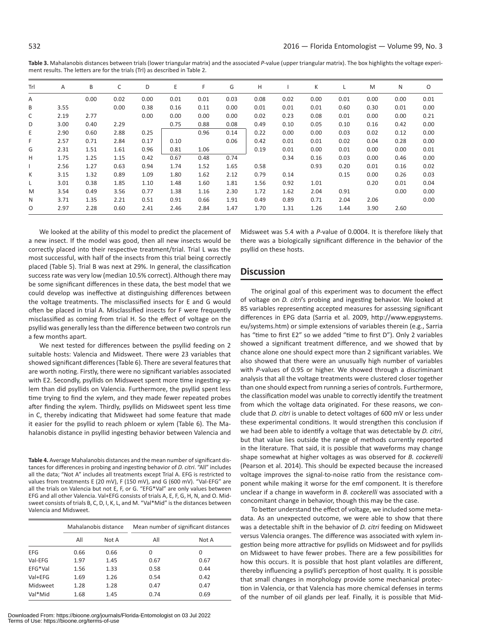| Trl | Α    | B    | C    | D    | E    | F    | G    | н    |      | К    |      | M    | N    | O    |
|-----|------|------|------|------|------|------|------|------|------|------|------|------|------|------|
| Α   |      | 0.00 | 0.02 | 0.00 | 0.01 | 0.01 | 0.03 | 0.08 | 0.02 | 0.00 | 0.01 | 0.00 | 0.00 | 0.01 |
| B   | 3.55 |      | 0.00 | 0.38 | 0.16 | 0.11 | 0.00 | 0.01 | 0.01 | 0.01 | 0.60 | 0.30 | 0.01 | 0.00 |
| C   | 2.19 | 2.77 |      | 0.00 | 0.00 | 0.00 | 0.00 | 0.02 | 0.23 | 0.08 | 0.01 | 0.00 | 0.00 | 0.21 |
| D   | 3.00 | 0.40 | 2.29 |      | 0.75 | 0.88 | 0.08 | 0.49 | 0.10 | 0.05 | 0.10 | 0.16 | 0.42 | 0.00 |
| Ε   | 2.90 | 0.60 | 2.88 | 0.25 |      | 0.96 | 0.14 | 0.22 | 0.00 | 0.00 | 0.03 | 0.02 | 0.12 | 0.00 |
| F.  | 2.57 | 0.71 | 2.84 | 0.17 | 0.10 |      | 0.06 | 0.42 | 0.01 | 0.01 | 0.02 | 0.04 | 0.28 | 0.00 |
| G   | 2.31 | 1.51 | 1.61 | 0.96 | 0.81 | 1.06 |      | 0.19 | 0.01 | 0.00 | 0.01 | 0.00 | 0.00 | 0.01 |
| н   | 1.75 | 1.25 | 1.15 | 0.42 | 0.67 | 0.48 | 0.74 |      | 0.34 | 0.16 | 0.03 | 0.00 | 0.46 | 0.00 |
|     | 2.56 | 1.27 | 0.63 | 0.94 | 1.74 | 1.52 | 1.65 | 0.58 |      | 0.93 | 0.20 | 0.01 | 0.16 | 0.02 |
| K   | 3.15 | 1.32 | 0.89 | 1.09 | 1.80 | 1.62 | 2.12 | 0.79 | 0.14 |      | 0.15 | 0.00 | 0.26 | 0.03 |
| Г   | 3.01 | 0.38 | 1.85 | 1.10 | 1.48 | 1.60 | 1.81 | 1.56 | 0.92 | 1.01 |      | 0.20 | 0.01 | 0.04 |
| M   | 3.54 | 0.49 | 3.56 | 0.77 | 1.38 | 1.16 | 2.30 | 1.72 | 1.62 | 2.04 | 0.91 |      | 0.00 | 0.00 |
| N   | 3.71 | 1.35 | 2.21 | 0.51 | 0.91 | 0.66 | 1.91 | 0.49 | 0.89 | 0.71 | 2.04 | 2.06 |      | 0.00 |
| 0   | 2.97 | 2.28 | 0.60 | 2.41 | 2.46 | 2.84 | 1.47 | 1.70 | 1.31 | 1.26 | 1.44 | 3.90 | 2.60 |      |

**Table 3.** Mahalanobis distances between trials (lower triangular matrix) and the associated *P*-value (upper triangular matrix). The box highlights the voltage experiment results. The letters are for the trials (Trl) as described in Table 2.

We looked at the ability of this model to predict the placement of a new insect. If the model was good, then all new insects would be correctly placed into their respective treatment/trial. Trial L was the most successful, with half of the insects from this trial being correctly placed (Table 5). Trial B was next at 29%. In general, the classification success rate was very low (median 10.5% correct). Although there may be some significant differences in these data, the best model that we could develop was ineffective at distinguishing differences between the voltage treatments. The misclassified insects for E and G would often be placed in trial A. Misclassified insects for F were frequently misclassified as coming from trial H. So the effect of voltage on the psyllid was generally less than the difference between two controls run a few months apart.

We next tested for differences between the psyllid feeding on 2 suitable hosts: Valencia and Midsweet. There were 23 variables that showed significant differences (Table 6). There are several features that are worth noting. Firstly, there were no significant variables associated with E2. Secondly, psyllids on Midsweet spent more time ingesting xylem than did psyllids on Valencia. Furthermore, the psyllid spent less time trying to find the xylem, and they made fewer repeated probes after finding the xylem. Thirdly, psyllids on Midsweet spent less time in C, thereby indicating that Midsweet had some feature that made it easier for the psyllid to reach phloem or xylem (Table 6). The Mahalanobis distance in psyllid ingesting behavior between Valencia and

**Table 4.** Average Mahalanobis distances and the mean number of significant distances for differences in probing and ingesting behavior of *D. citri*. "All" includes all the data; "Not A" includes all treatments except Trial A. EFG is restricted to values from treatments E (20 mV), F (150 mV), and G (600 mV). "Val-EFG" are all the trials on Valencia but not E, F, or G. "EFG\*Val" are only values between EFG and all other Valencia. Val+EFG consists of trials A, E, F, G, H, N, and O. Midsweet consists of trials B, C, D, I, K, L, and M. "Val\*Mid" is the distances between Valencia and Midsweet.

|            |      | Mahalanobis distance | Mean number of significant distances |       |  |  |
|------------|------|----------------------|--------------------------------------|-------|--|--|
|            | All  | Not A                | All                                  | Not A |  |  |
| <b>EFG</b> | 0.66 | 0.66                 | 0                                    | 0     |  |  |
| Val-EFG    | 1.97 | 1.45                 | 0.67                                 | 0.67  |  |  |
| EFG*Val    | 1.56 | 1.33                 | 0.58                                 | 0.44  |  |  |
| Val+EFG    | 1.69 | 1.26                 | 0.54                                 | 0.42  |  |  |
| Midsweet   | 1.28 | 1.28                 | 0.47                                 | 0.47  |  |  |
| Val*Mid    | 1.68 | 1.45                 | 0.74                                 | 0.69  |  |  |

Midsweet was 5.4 with a *P*-value of 0.0004. It is therefore likely that there was a biologically significant difference in the behavior of the psyllid on these hosts.

### **Discussion**

The original goal of this experiment was to document the effect of voltage on *D. citri*'s probing and ingesting behavior. We looked at 85 variables representing accepted measures for assessing significant differences in EPG data (Sarria et al. 2009, http://www.epgsystems. eu/systems.htm) or simple extensions of variables therein (e.g., Sarria has "time to first E2" so we added "time to first D"). Only 2 variables showed a significant treatment difference, and we showed that by chance alone one should expect more than 2 significant variables. We also showed that there were an unusually high number of variables with *P*-values of 0.95 or higher. We showed through a discriminant analysis that all the voltage treatments were clustered closer together than one should expect from running a series of controls. Furthermore, the classification model was unable to correctly identify the treatment from which the voltage data originated. For these reasons, we conclude that *D. citri* is unable to detect voltages of 600 mV or less under these experimental conditions. It would strengthen this conclusion if we had been able to identify a voltage that was detectable by *D. citri*, but that value lies outside the range of methods currently reported in the literature. That said, it is possible that waveforms may change shape somewhat at higher voltages as was observed for *B. cockerelli* (Pearson et al. 2014). This should be expected because the increased voltage improves the signal-to-noise ratio from the resistance component while making it worse for the emf component. It is therefore unclear if a change in waveform in *B. cockerelli* was associated with a concomitant change in behavior, though this may be the case.

To better understand the effect of voltage, we included some metadata. As an unexpected outcome, we were able to show that there was a detectable shift in the behavior of *D. citri* feeding on Midsweet versus Valencia oranges. The difference was associated with xylem ingestion being more attractive for psyllids on Midsweet and for psyllids on Midsweet to have fewer probes. There are a few possibilities for how this occurs. It is possible that host plant volatiles are different, thereby influencing a psyllid's perception of host quality. It is possible that small changes in morphology provide some mechanical protection in Valencia, or that Valencia has more chemical defenses in terms of the number of oil glands per leaf. Finally, it is possible that Mid-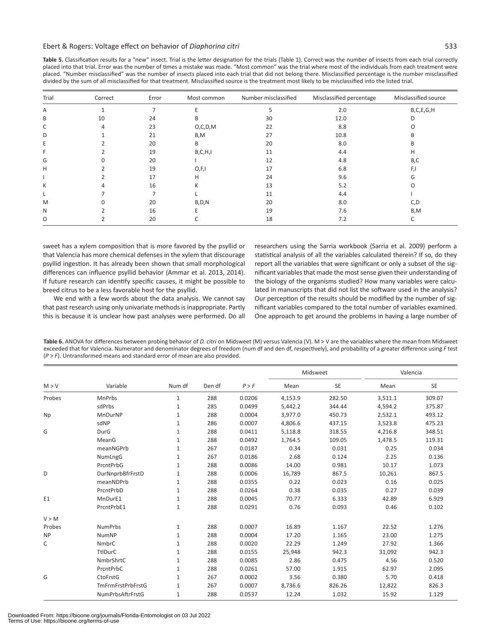| Table 5. Classification results for a "new" insect. Trial is the letter designation for the trials (Table 1). Correct was the number of insects from each trial correctly |
|---------------------------------------------------------------------------------------------------------------------------------------------------------------------------|
| placed into that trial. Error was the number of times a mistake was made. "Most common" was the trial where most of the individuals from each treatment were              |
| placed. "Number misclassified" was the number of insects placed into each trial that did not belong there. Misclassified percentage is the number misclassified           |
| divided by the sum of all misclassified for that treatment. Misclassified source is the treatment most likely to be misclassified into the listed trial.                  |

| Trial | Correct | Error | Most common | Number misclassified | Misclassified percentage | Misclassified source |
|-------|---------|-------|-------------|----------------------|--------------------------|----------------------|
| Α     |         |       |             |                      | 2.0                      | B,C,E,G,H            |
| B     | 10      | 24    | R.          | 30                   | 12.0                     | D                    |
| C     | 4       | 23    | O, C, D, M  | 22                   | 8.8                      |                      |
| D     |         | 21    | B,M         | 27                   | 10.8                     |                      |
| E     |         | 20    | B           | 20                   | 8.0                      | R                    |
|       |         | 19    | B, C, H, I  | 11                   | 4.4                      | H                    |
| G     |         | 20    |             | 12                   | 4.8                      | B,C                  |
| н     |         | 19    | O, F, I     | 17                   | 6.8                      |                      |
|       |         | 17    | H           | 24                   | 9.6                      |                      |
| К     |         | 16    | K           | 13                   | 5.2                      |                      |
|       |         |       |             | 11                   | 4.4                      |                      |
| M     |         | 20    | B, D, N     | 20                   | 8.0                      | C,D                  |
| N     |         | 16    |             | 19                   | 7.6                      | B,M                  |
| O     |         | 20    |             | 18                   | 7.2                      |                      |

sweet has a xylem composition that is more favored by the psyllid or that Valencia has more chemical defenses in the xylem that discourage psyllid ingestion. It has already been shown that small morphological differences can influence psyllid behavior (Ammar et al. 2013, 2014). If future research can identify specific causes, it might be possible to breed citrus to be a less favorable host for the psyllid.

We end with a few words about the data analysis. We cannot say that past research using only univariate methods is inappropriate. Partly this is because it is unclear how past analyses were performed. Do all

researchers using the Sarria workbook (Sarria et al. 2009) perform a statistical analysis of all the variables calculated therein? If so, do they report all the variables that were significant or only a subset of the significant variables that made the most sense given their understanding of the biology of the organisms studied? How many variables were calculated in manuscripts that did not list the software used in the analysis? Our perception of the results should be modified by the number of significant variables compared to the total number of variables examined. One approach to get around the problems in having a large number of

**Table 6.** ANOVA for differences between probing behavior of *D. citri* on Midsweet (M) versus Valencia (V). M > V are the variables where the mean from Midsweet exceeded that for Valencia. Numerator and denominator degrees of freedom (num df and den df, respectively), and probability of a greater difference using *F* test (*P* > *F*). Untransformed means and standard error of mean are also provided.

|                |                   |              | Den df | P > F  |         | Midsweet | Valencia |           |
|----------------|-------------------|--------------|--------|--------|---------|----------|----------|-----------|
| M > V          | Variable          | Num df       |        |        | Mean    | SE       | Mean     | <b>SE</b> |
| Probes         | <b>MnPrbs</b>     | $\mathbf{1}$ | 288    | 0.0206 | 4,153.9 | 282.50   | 3,511.1  | 309.07    |
|                | sdPrbs            | $\mathbf{1}$ | 285    | 0.0499 | 5,442.2 | 344.44   | 4,594.2  | 375.87    |
| Np             | MnDurNP           | $\mathbf{1}$ | 288    | 0.0004 | 3,977.0 | 450.73   | 2,532.1  | 493.12    |
|                | sdNP              | $\mathbf{1}$ | 286    | 0.0007 | 4,806.6 | 437.15   | 3,523.8  | 475.23    |
| G              | DurG              | $\mathbf{1}$ | 288    | 0.0411 | 5,118.8 | 318.55   | 4,216.8  | 348.51    |
|                | MeanG             | $\mathbf{1}$ | 288    | 0.0492 | 1,764.5 | 109.05   | 1,478.5  | 119.31    |
|                | meanNGPrb         | $\mathbf{1}$ | 267    | 0.0187 | 0.34    | 0.031    | 0.25     | 0.034     |
|                | NumLngG           | $\mathbf{1}$ | 267    | 0.0186 | 2.68    | 0.124    | 2.25     | 0.136     |
|                | PrcntPrbG         | $\mathbf{1}$ | 288    | 0.0086 | 14.00   | 0.981    | 10.17    | 1.073     |
| D              | DurNnprbBfrFrstD  | $\mathbf{1}$ | 288    | 0.0006 | 16,789  | 867.5    | 10,261   | 867.5     |
|                | meanNDPrb         | $\mathbf{1}$ | 288    | 0.0355 | 0.22    | 0.023    | 0.16     | 0.025     |
|                | PrcntPrbD         | $\mathbf{1}$ | 288    | 0.0264 | 0.38    | 0.035    | 0.27     | 0.039     |
| E <sub>1</sub> | MnDurE1           | $\mathbf{1}$ | 288    | 0.0045 | 70.77   | 6.333    | 42.89    | 6.929     |
|                | PrcntPrbE1        | $\mathbf{1}$ | 288    | 0.0291 | 0.76    | 0.093    | 0.46     | 0.102     |
| V > M          |                   |              |        |        |         |          |          |           |
| Probes         | <b>NumPrbs</b>    | $\mathbf{1}$ | 288    | 0.0007 | 16.89   | 1.167    | 22.52    | 1.276     |
| <b>NP</b>      | <b>NumNP</b>      | $\mathbf{1}$ | 288    | 0.0004 | 17.20   | 1.165    | 23.00    | 1.275     |
| C              | <b>NmbrC</b>      | $\mathbf{1}$ | 288    | 0.0020 | 22.29   | 1.249    | 27.92    | 1.366     |
|                | TtlDurC           | $\mathbf{1}$ | 288    | 0.0155 | 25,948  | 942.3    | 31,092   | 942.3     |
|                | NmbrShrtC         | $\mathbf{1}$ | 288    | 0.0085 | 2.86    | 0.475    | 4.56     | 0.520     |
|                | PrcntPrbC         | $\mathbf{1}$ | 288    | 0.0261 | 57.00   | 1.915    | 62.97    | 2.095     |
| G              | <b>CtoFrstG</b>   | $\mathbf{1}$ | 267    | 0.0002 | 3.56    | 0.380    | 5.70     | 0.418     |
|                | TmFrmFrstPrbFrstG | $\mathbf{1}$ | 267    | 0.0007 | 8,736.6 | 826.26   | 12,822   | 826.3     |
|                | NumPrbsAftrFrstG  | $\mathbf{1}$ | 288    | 0.0537 | 12.24   | 1.032    | 15.92    | 1.129     |